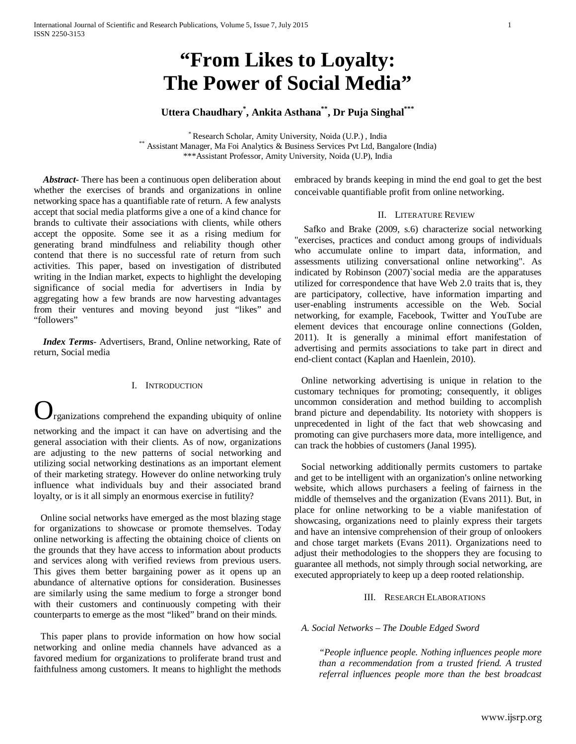# **"From Likes to Loyalty: The Power of Social Media"**

# **Uttera Chaudhary\* , Ankita Asthana\*\*, Dr Puja Singhal\*\*\***

\* Research Scholar, Amity University, Noida (U.P.), India<br>\* Assistant Manager, Ma Foi Analytics & Business Services Pvt Ltd, Bangalore (India) \*\*\*Assistant Professor, Amity University, Noida (U.P), India

 *Abstract***-** There has been a continuous open deliberation about whether the exercises of brands and organizations in online networking space has a quantifiable rate of return. A few analysts accept that social media platforms give a one of a kind chance for brands to cultivate their associations with clients, while others accept the opposite. Some see it as a rising medium for generating brand mindfulness and reliability though other contend that there is no successful rate of return from such activities. This paper, based on investigation of distributed writing in the Indian market, expects to highlight the developing significance of social media for advertisers in India by aggregating how a few brands are now harvesting advantages from their ventures and moving beyond just "likes" and "followers"

 *Index Terms*- Advertisers, Brand, Online networking, Rate of return, Social media

# I. INTRODUCTION

rganizations comprehend the expanding ubiquity of online networking and the impact it can have on advertising and the general association with their clients. As of now, organizations are adjusting to the new patterns of social networking and utilizing social networking destinations as an important element of their marketing strategy. However do online networking truly influence what individuals buy and their associated brand loyalty, or is it all simply an enormous exercise in futility?

 Online social networks have emerged as the most blazing stage for organizations to showcase or promote themselves. Today online networking is affecting the obtaining choice of clients on the grounds that they have access to information about products and services along with verified reviews from previous users. This gives them better bargaining power as it opens up an abundance of alternative options for consideration. Businesses are similarly using the same medium to forge a stronger bond with their customers and continuously competing with their counterparts to emerge as the most "liked" brand on their minds.

 This paper plans to provide information on how how social networking and online media channels have advanced as a favored medium for organizations to proliferate brand trust and faithfulness among customers. It means to highlight the methods embraced by brands keeping in mind the end goal to get the best conceivable quantifiable profit from online networking.

#### II. LITERATURE REVIEW

 Safko and Brake (2009, s.6) characterize social networking "exercises, practices and conduct among groups of individuals who accumulate online to impart data, information, and assessments utilizing conversational online networking". As indicated by Robinson (2007)`social media are the apparatuses utilized for correspondence that have Web 2.0 traits that is, they are participatory, collective, have information imparting and user-enabling instruments accessible on the Web. Social networking, for example, Facebook, Twitter and YouTube are element devices that encourage online connections (Golden, 2011). It is generally a minimal effort manifestation of advertising and permits associations to take part in direct and end-client contact (Kaplan and Haenlein, 2010).

 Online networking advertising is unique in relation to the customary techniques for promoting; consequently, it obliges uncommon consideration and method building to accomplish brand picture and dependability. Its notoriety with shoppers is unprecedented in light of the fact that web showcasing and promoting can give purchasers more data, more intelligence, and can track the hobbies of customers (Janal 1995).

 Social networking additionally permits customers to partake and get to be intelligent with an organization's online networking website, which allows purchasers a feeling of fairness in the middle of themselves and the organization (Evans 2011). But, in place for online networking to be a viable manifestation of showcasing, organizations need to plainly express their targets and have an intensive comprehension of their group of onlookers and chose target markets (Evans 2011). Organizations need to adjust their methodologies to the shoppers they are focusing to guarantee all methods, not simply through social networking, are executed appropriately to keep up a deep rooted relationship.

#### III. RESEARCH ELABORATIONS

#### *A. Social Networks – The Double Edged Sword*

*"People influence people. Nothing influences people more than a recommendation from a trusted friend. A trusted referral influences people more than the best broadcast*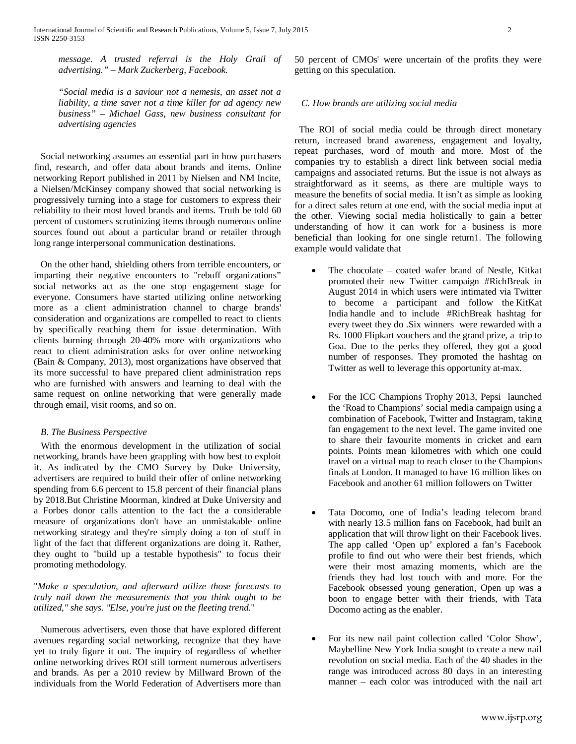*message. A trusted referral is the Holy Grail of advertising." – Mark Zuckerberg, Facebook.*

*"Social media is a saviour not a nemesis, an asset not a liability, a time saver not a time killer for ad agency new business" – Michael Gass, new business consultant for advertising agencies*

 Social networking assumes an essential part in how purchasers find, research, and offer data about brands and items. Online networking Report published in 2011 by Nielsen and NM Incite, a Nielsen/McKinsey company showed that social networking is progressively turning into a stage for customers to express their reliability to their most loved brands and items. Truth be told 60 percent of customers scrutinizing items through numerous online sources found out about a particular brand or retailer through long range interpersonal communication destinations.

 On the other hand, shielding others from terrible encounters, or imparting their negative encounters to "rebuff organizations" social networks act as the one stop engagement stage for everyone. Consumers have started utilizing online networking more as a client administration channel to charge brands' consideration and organizations are compelled to react to clients by specifically reaching them for issue determination. With clients burning through 20-40% more with organizations who react to client administration asks for over online networking (Bain & Company, 2013), most organizations have observed that its more successful to have prepared client administration reps who are furnished with answers and learning to deal with the same request on online networking that were generally made through email, visit rooms, and so on.

# *B. The Business Perspective*

 With the enormous development in the utilization of social networking, brands have been grappling with how best to exploit it. As indicated by the CMO Survey by Duke University, advertisers are required to build their offer of online networking spending from 6.6 percent to 15.8 percent of their financial plans by 2018.But Christine Moorman, kindred at Duke University and a Forbes donor calls attention to the fact the a considerable measure of organizations don't have an unmistakable online networking strategy and they're simply doing a ton of stuff in light of the fact that different organizations are doing it. Rather, they ought to "build up a testable hypothesis" to focus their promoting methodology.

"*Make a speculation, and afterward utilize those forecasts to truly nail down the measurements that you think ought to be utilized," she says. "Else, you're just on the fleeting trend*."

 Numerous advertisers, even those that have explored different avenues regarding social networking, recognize that they have yet to truly figure it out. The inquiry of regardless of whether online networking drives ROI still torment numerous advertisers and brands. As per a 2010 review by Millward Brown of the individuals from the World Federation of Advertisers more than

50 percent of CMOs' were uncertain of the profits they were getting on this speculation.

### *C. How brands are utilizing social media*

 The ROI of social media could be through direct monetary return, increased brand awareness, engagement and loyalty, repeat purchases, word of mouth and more. Most of the companies try to establish a direct link between social media campaigns and associated returns. But the issue is not always as straightforward as it seems, as there are multiple ways to measure the benefits of social media. It isn't as simple as looking for a direct sales return at one end, with the social media input at the other. Viewing social media holistically to gain a better understanding of how it can work for a business is more beneficial than looking for one single return1. The following example would validate that

- The chocolate coated wafer brand of Nestle, Kitkat promoted their new Twitter campaign #RichBreak in August 2014 in which users were intimated via Twitter to become a participant and follow the KitKat India handle and to include #RichBreak hashtag for every tweet they do .Six winners were rewarded with a Rs. 1000 Flipkart vouchers and the grand prize, a trip to Goa. Due to the perks they offered, they got a good number of responses. They promoted the hashtag on Twitter as well to leverage this opportunity at-max.
- For the ICC Champions Trophy 2013, Pepsi launched the 'Road to Champions' social media campaign using a combination of Facebook, Twitter and Instagram, taking fan engagement to the next level. The game invited one to share their favourite moments in cricket and earn points. Points mean kilometres with which one could travel on a virtual map to reach closer to the Champions finals at London. It managed to have 16 million likes on Facebook and another 61 million followers on Twitter
- Tata Docomo, one of India's leading telecom brand with nearly 13.5 million fans on Facebook, had built an application that will throw light on their Facebook lives. The app called 'Open up' explored a fan's Facebook profile to find out who were their best friends, which were their most amazing moments, which are the friends they had lost touch with and more. For the Facebook obsessed young generation, Open up was a boon to engage better with their friends, with Tata Docomo acting as the enabler.
- For its new nail paint collection called 'Color Show', Maybelline New York India sought to create a new nail revolution on social media. Each of the 40 shades in the range was introduced across 80 days in an interesting manner – each color was introduced with the nail art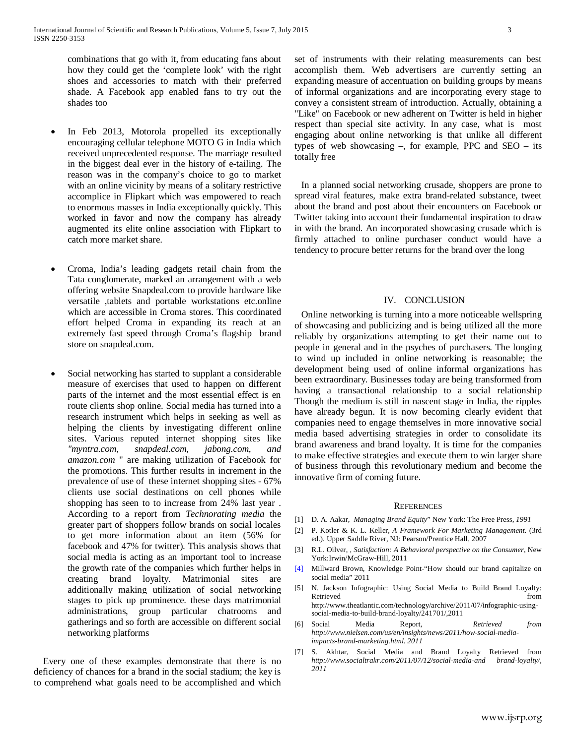combinations that go with it, from educating fans about how they could get the 'complete look' with the right shoes and accessories to match with their preferred shade. A Facebook app enabled fans to try out the shades too

- In Feb 2013, Motorola propelled its exceptionally encouraging cellular telephone MOTO G in India which received unprecedented response. The marriage resulted in the biggest deal ever in the history of e-tailing. The reason was in the company's choice to go to market with an online vicinity by means of a solitary restrictive accomplice in Flipkart which was empowered to reach to enormous masses in India exceptionally quickly. This worked in favor and now the company has already augmented its elite online association with Flipkart to catch more market share.
- Croma, India's leading gadgets retail chain from the Tata conglomerate, marked an arrangement with a web offering website Snapdeal.com to provide hardware like versatile ,tablets and portable workstations etc.online which are accessible in Croma stores. This coordinated effort helped Croma in expanding its reach at an extremely fast speed through Croma's flagship brand store on snapdeal.com.
- Social networking has started to supplant a considerable measure of exercises that used to happen on different parts of the internet and the most essential effect is en route clients shop online. Social media has turned into a research instrument which helps in seeking as well as helping the clients by investigating different online sites. Various reputed internet shopping sites like *"myntra.com, snapdeal.com, jabong.com, and amazon.com* " are making utilization of Facebook for the promotions. This further results in increment in the prevalence of use of these internet shopping sites - 67% clients use social destinations on cell phones while shopping has seen to to increase from 24% last year . According to a report from *Technorating media* the greater part of shoppers follow brands on social locales to get more information about an item (56% for facebook and 47% for twitter). This analysis shows that social media is acting as an important tool to increase the growth rate of the companies which further helps in creating brand loyalty. Matrimonial sites are additionally making utilization of social networking stages to pick up prominence. these days matrimonial administrations, group particular chatrooms and gatherings and so forth are accessible on different social networking platforms

 Every one of these examples demonstrate that there is no deficiency of chances for a brand in the social stadium; the key is to comprehend what goals need to be accomplished and which set of instruments with their relating measurements can best accomplish them. Web advertisers are currently setting an expanding measure of accentuation on building groups by means of informal organizations and are incorporating every stage to convey a consistent stream of introduction. Actually, obtaining a "Like" on Facebook or new adherent on Twitter is held in higher respect than special site activity. In any case, what is most engaging about online networking is that unlike all different types of web showcasing –, for example, PPC and SEO – its totally free

 In a planned social networking crusade, shoppers are prone to spread viral features, make extra brand-related substance, tweet about the brand and post about their encounters on Facebook or Twitter taking into account their fundamental inspiration to draw in with the brand. An incorporated showcasing crusade which is firmly attached to online purchaser conduct would have a tendency to procure better returns for the brand over the long

#### IV. CONCLUSION

 Online networking is turning into a more noticeable wellspring of showcasing and publicizing and is being utilized all the more reliably by organizations attempting to get their name out to people in general and in the psyches of purchasers. The longing to wind up included in online networking is reasonable; the development being used of online informal organizations has been extraordinary. Businesses today are being transformed from having a transactional relationship to a social relationship Though the medium is still in nascent stage in India, the ripples have already begun. It is now becoming clearly evident that companies need to engage themselves in more innovative social media based advertising strategies in order to consolidate its brand awareness and brand loyalty. It is time for the companies to make effective strategies and execute them to win larger share of business through this revolutionary medium and become the innovative firm of coming future.

#### **REFERENCES**

- [1] D. A. Aakar, *Managing Brand Equity*" New York: The Free Press, *1991*
- [2] P. Kotler & K. L. Keller, *A Framework For Marketing Management.* (3rd ed.). Upper Saddle River, NJ: Pearson/Prentice Hall, 2007
- [3] R.L. Oilver, , *Satisfaction: A Behavioral perspective on the Consumer*, New York:Irwin/McGraw-Hill, 2011
- [4] Millward Brown, Knowledge Point-"How should our brand capitalize on social media" 2011
- [5] N. Jackson Infographic: Using Social Media to Build Brand Loyalty: Retrieved from  $\sim$ http://www.theatlantic.com/technology/archive/2011/07/infographic-usingsocial-media-to-build-brand-loyalty/241701/,2011
- [6] Social Media Report, *Retrieved from http://www.nielsen.com/us/en/insights/news/2011/how-social-mediaimpacts-brand-marketing.html. 2011*
- S. Akhtar, Social Media and Brand Loyalty Retrieved from *http://www.socialtrakr.com/2011/07/12/social-media-and brand-loyalty/, 2011*